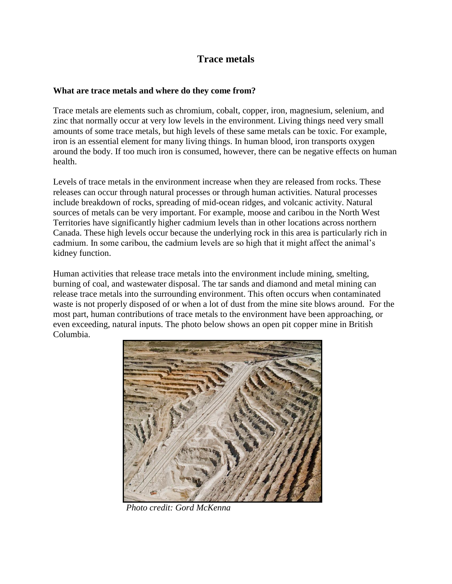## **Trace metals**

## **What are trace metals and where do they come from?**

Trace metals are elements such as chromium, cobalt, copper, iron, magnesium, selenium, and zinc that normally occur at very low levels in the environment. Living things need very small amounts of some trace metals, but high levels of these same metals can be toxic. For example, iron is an essential element for many living things. In human blood, iron transports oxygen around the body. If too much iron is consumed, however, there can be negative effects on human health.

Levels of trace metals in the environment increase when they are released from rocks. These releases can occur through natural processes or through human activities. Natural processes include breakdown of rocks, spreading of mid-ocean ridges, and volcanic activity. Natural sources of metals can be very important. For example, moose and caribou in the North West Territories have significantly higher cadmium levels than in other locations across northern Canada. These high levels occur because the underlying rock in this area is particularly rich in cadmium. In some caribou, the cadmium levels are so high that it might affect the animal's kidney function.

Human activities that release trace metals into the environment include mining, smelting, burning of coal, and wastewater disposal. The tar sands and diamond and metal mining can release trace metals into the surrounding environment. This often occurs when contaminated waste is not properly disposed of or when a lot of dust from the mine site blows around. For the most part, human contributions of trace metals to the environment have been approaching, or even exceeding, natural inputs. The photo below shows an open pit copper mine in British Columbia.



*Photo credit: Gord McKenna*